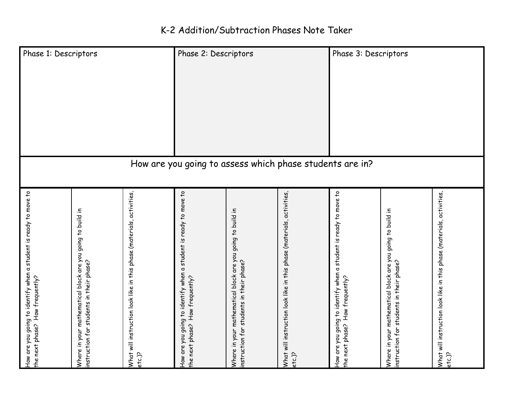| Phase 1: Descriptors                                                                                |                                                                                                        |                                                                                 | Phase 2: Descriptors                                                                                |                                                                                                        |                                                                                   | Phase 3: Descriptors                                                                                |                                                                                                        |                                                                                 |  |  |
|-----------------------------------------------------------------------------------------------------|--------------------------------------------------------------------------------------------------------|---------------------------------------------------------------------------------|-----------------------------------------------------------------------------------------------------|--------------------------------------------------------------------------------------------------------|-----------------------------------------------------------------------------------|-----------------------------------------------------------------------------------------------------|--------------------------------------------------------------------------------------------------------|---------------------------------------------------------------------------------|--|--|
| How are you going to assess which phase students are in?                                            |                                                                                                        |                                                                                 |                                                                                                     |                                                                                                        |                                                                                   |                                                                                                     |                                                                                                        |                                                                                 |  |  |
| How are you going to identify when a student is ready to move to<br>the next phase? How frequently? | Where in your mathematical block are you going to build in<br>instruction for students in their phase? | What will instruction look like in this phase (materials, activities,<br>etc.)? | How are you going to identify when a student is ready to move to<br>the next phase? How frequently? | Where in your mathematical block are you going to build in<br>instruction for students in their phase? | activities<br>What will instruction look like in this phase (materials,<br>etc.)? | How are you going to identify when a student is ready to move to<br>the next phase? How frequently? | Where in your mathematical block are you going to build in<br>instruction for students in their phase? | What will instruction look like in this phase (materials, activities,<br>etc.)? |  |  |